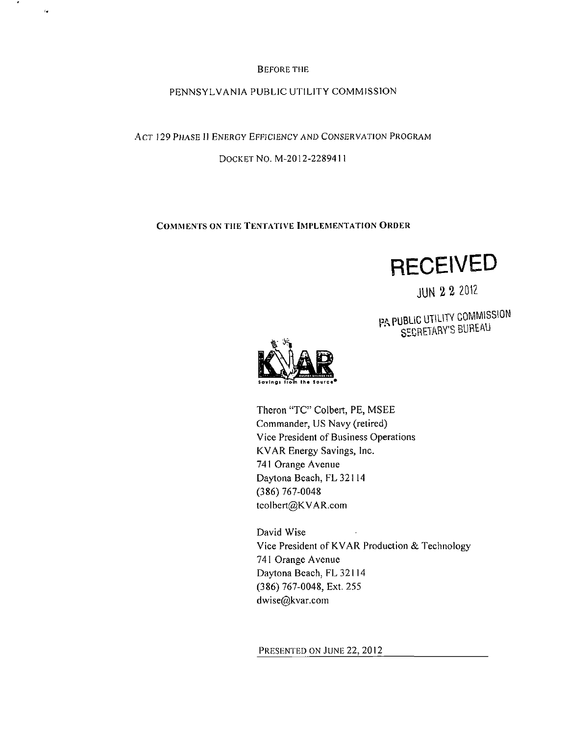#### BEFORE THE

÷

 $\epsilon$ 

#### PENNSYLVANIA PUBLIC UTILITY COMMISSION

ACT 129 PHASE II ENERGY EFFICIENCY AND CONSERVATION PROGRAM

DOCKET NO. M-2012-2289411

#### COMMENTS ON THE TENTATIVE IMPLEMENTATION ORDER

**RECEIVED** 

JUN 2 2 2012

PA PUBLIC UTILITY COMMISSION SECRETARY'S BUREAU



Theron "TC" Colbert, PE, MSEE Commander, US Navy (retired) Vice President of Business Operations KVAR Energy Savings, Inc. 741 Orange Avenue Daytona Beach, FL32114 (386) 767-0048 tcoIbert@KVAR.com

David Wise Vice President of KVAR Production & Technology 741 Orange Avenue Daytona Beach, FL32I14 (386) 767-0048, Ext. 255 dwise@kvar.com

PRESENTED ON JUNE 22, 2012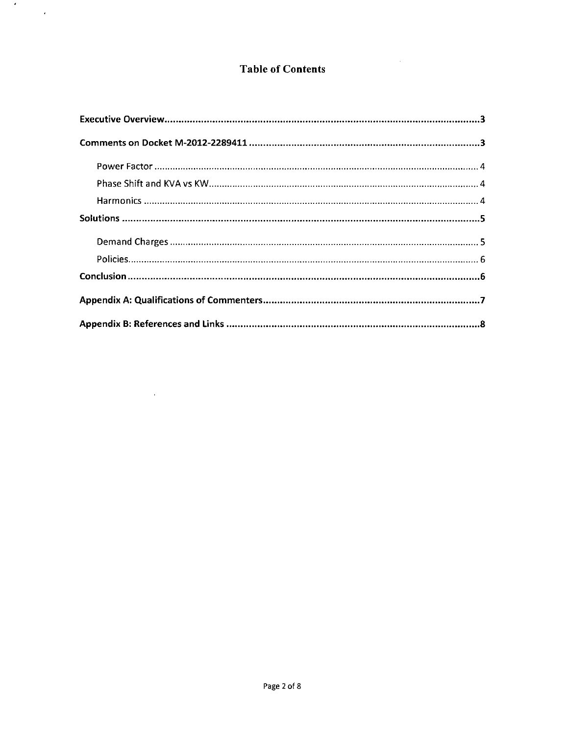## Table of Contents

 $\label{eq:2.1} \frac{1}{2} \int_{\mathbb{R}^3} \frac{1}{\sqrt{2}} \, \frac{1}{\sqrt{2}} \, \frac{1}{\sqrt{2}} \, \frac{1}{\sqrt{2}} \, \frac{1}{\sqrt{2}} \, \frac{1}{\sqrt{2}} \, \frac{1}{\sqrt{2}} \, \frac{1}{\sqrt{2}} \, \frac{1}{\sqrt{2}} \, \frac{1}{\sqrt{2}} \, \frac{1}{\sqrt{2}} \, \frac{1}{\sqrt{2}} \, \frac{1}{\sqrt{2}} \, \frac{1}{\sqrt{2}} \, \frac{1}{\sqrt{2}} \, \frac{1}{\sqrt{2}} \,$ 

 $\frac{1}{2} \sum_{i=1}^n \frac{1}{2} \sum_{j=1}^n \frac{1}{2} \sum_{j=1}^n \frac{1}{2} \sum_{j=1}^n \frac{1}{2} \sum_{j=1}^n \frac{1}{2} \sum_{j=1}^n \frac{1}{2} \sum_{j=1}^n \frac{1}{2} \sum_{j=1}^n \frac{1}{2} \sum_{j=1}^n \frac{1}{2} \sum_{j=1}^n \frac{1}{2} \sum_{j=1}^n \frac{1}{2} \sum_{j=1}^n \frac{1}{2} \sum_{j=1}^n \frac{1}{2} \sum_{j=$ 

 $\mathcal{L}^{\mathcal{L}}(\mathcal{L}^{\mathcal{L}})$  . Let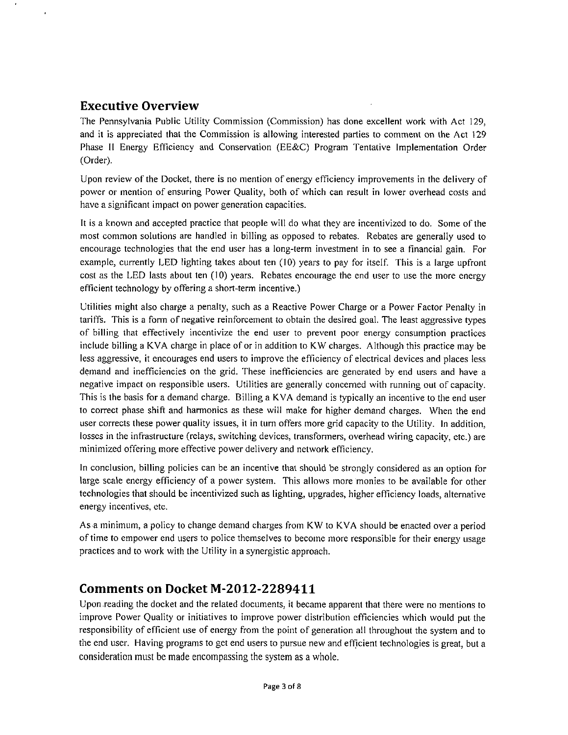#### **Executive Overview**

The Pennsylvania Public Utility Commission (Commission) has done excellent work with Act 129, and it is appreciated that the Commission is allowing interested parties to comment on the Act 129 Phase II Energy Efficiency and Conservation (EE&C) Program Tentative Implementation Order (Order).

Upon review of the Docket, there is no mention of energy efficiency improvements in the delivery of power or mention of ensuring Power Quality, both of which can result in lower overhead costs and have a significant impact on power generation capacities.

It is a known and accepted practice that people will do what they are incentivized to do. Some of the most common solutions are handled in billing as opposed to rebates. Rebates are generally used to encourage technologies that the end user has a long-term investment in to see a financial gain. For example, currently LED lighting takes about ten (10) years to pay for itself. This is a large upfront cost as the LED lasts about ten (10) years. Rebates encourage the end user to use the more energy efficient technology by offering a short-term incentive.)

Utilities might also charge a penalty, such as a Reactive Power Charge or a Power Factor Penalty in tariffs. This is a form of negative reinforcement to obtain the desired goal. The least aggressive types of billing that effectively incentivize the end user to prevent poor energy consumption practices include billing a KVA charge in place of or in addition to KW charges. Although this practice may be less aggressive, it encourages end users to improve the efficiency of electrical devices and places less demand and inefficiencies on the grid. These inefficiencies are generated by end users and have a negative impact on responsible users. Utilities are generally concerned with running out of capacity. This is the basis for a demand charge. Billing a KVA demand is typically an incentive to the end user to correct phase shift and harmonics as these will make for higher demand charges. When the end user corrects these power quality issues, it in turn offers more grid capacity to the Utility. In addition, losses in the infrastructure (relays, switching devices, transformers, overhead wiring capacity, etc.) are minimized offering more effective power delivery and network efficiency.

In conclusion, billing policies can be an incentive that should be strongly considered as an option for large scale energy efficiency of a power system. This allows more monies to be available for other technologies that should be incentivized such as lighting, upgrades, higher efficiency loads, alternative energy incentives, etc.

As a minimum, a policy to change demand charges from KW to KVA should be enacted over a period of time to empower end users to police themselves to become more responsible for their energy usage practices and to work with the Utility in a synergistic approach.

#### **Comments on Docket M-2012-2289411**

Upon reading the docket and the related documents, it became apparent that there were no mentions to improve Power Quality or initiatives to improve power distribution efficiencies which would put the responsibility of efficient use of energy from the point of generation all throughout the system and to the end user. Having programs to get end users to pursue new and efficient technologies is great, but a consideration must be made encompassing the system as a whole.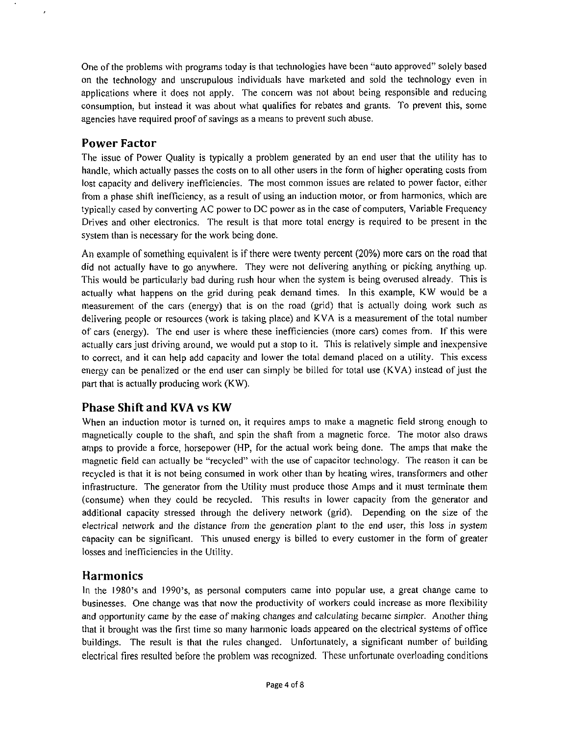One of the problems with programs today is that technologies have been "auto approved" solely based on the technology and unscrupulous individuals have marketed and sold the technology even in applications where it does not apply. The concern was not about being responsible and reducing consumption, but instead it was about what qualifies for rebates and grants. To prevent this, some agencies have required proof of savings as a means to prevent such abuse.

#### **Power Factor**

The issue of Power Quality is typically a problem generated by an end user that the utility has to handle, which actually passes the costs on to all other users in the form of higher operating costs from lost capacity and delivery inefficiencies. The most common issues are related to power factor, either from a phase shift inefficiency, as a result of using an induction motor, or from harmonics, which are typically cased by converting AC power to DC power as in the case of computers, Variable Frequency Drives and other electronics. The result is that more total energy is required to be present in the system than is necessary for the work being done.

An example of something equivalent is if there were twenty percent (20%) more cars on the road that did not actually have to go anywhere. They were not delivering anything or picking anything up. This would be particularly bad during rush hour when the system is being overused already. This is actually what happens on the grid during peak demand times. In this example, KW would be a measurement of the cars (energy) that is on the road (grid) that is actually doing work such as delivering people or resources (work is taking place) and KVA is a measurement of the total number of cars (energy). The end user is where these inefficiencies (more cars) comes from. If this were actually cars just driving around, we would put a stop to it. This is relatively simple and inexpensive to correct, and it can help add capacity and lower the total demand placed on a utility. This excess energy can be penalized or the end user can simply be billed for total use (KVA) instead of just the part that is actually producing work (KW).

## **Phase Shift and KVA vs KW**

When an induction motor is turned on, it requires amps to make a magnetic field strong enough to magnetically couple to the shaft, and spin the shaft from a magnetic force. The motor also draws amps to provide a force, horsepower (HP, for the actual work being done. The amps that make the magnetic field can actually be "recycled" with the use of capacitor technology. The reason it can be recycled is that it is not being consumed in work other than by heating wires, transformers and other infrastructure. The generator from the Utility must produce those Amps and it must terminate them (consume) when they could be recycled. This results in lower capacity from the generator and additional capacity stressed through the delivery network (grid). Depending on the size of the electrical network and the distance from the generation plant to the end user, this loss in system capacity can be significant. This unused energy is billed to every customer in the form of greater losses and inefficiencies in the Utility.

## **Harmonics**

In the 1980's and 1990's, as personal computers came into popular use, a great change came to businesses. One change was that now the productivity of workers could increase as more flexibility and opportunity came by the ease of making changes and calculating became simpler. Another thing that it brought was the first time so many harmonic loads appeared on the electrical systems of office buildings. The result is that the rules changed. Unfortunately, a significant number of building electrical fires resulted before the problem was recognized. These unfortunate overloading conditions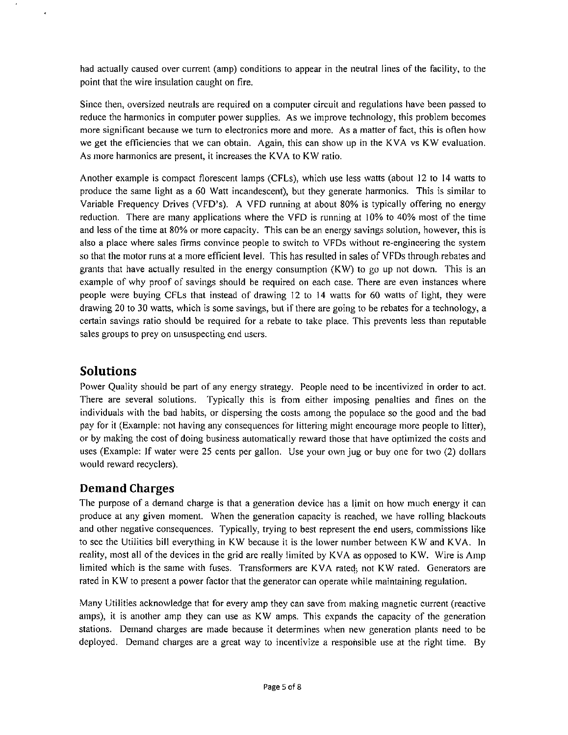had actually caused over current (amp) conditions to appear in the neutral lines of the facility, to the point that the wire insulation caught on fire.

Since then, oversized neutrals are required on a computer circuit and regulations have been passed to reduce the harmonics in computer power supplies. As we improve technology, this problem becomes more significant because we turn to electronics more and more. As a matter of fact, this is often how we get the efficiencies that we can obtain. Again, this can show up in the KVA vs KW evaluation. As more harmonics are present, it increases the KVA to KW ratio.

Another example is compact florescent lamps (CFLs), which use less watts (about 12 to 14 watts to produce the same light as a 60 Watt incandescent), but they generate harmonics. This is similar to Variable Frequency Drives (VFD's). A VFD running at about 80% is typically offering no energy reduction. There are many applications where the VFD is running at 10% to 40% most of the time and less of the time at 80% or more capacity. This can be an energy savings solution, however, this is also a place where sales firms convince people to switch to VFDs without re-engineering the system so that the motor runs at a more efficient level. This has resulted in sales of VFDs through rebates and grants that have actually resulted in the energy consumption (KW) to go up not down. This is an example of why proof of savings should be required on each case. There are even instances where people were buying CFLs that instead of drawing 12 to 14 watts for 60 watts of light, they were drawing 20 to 30 watts, which is some savings, but if there are going to be rebates for a technology, a certain savings ratio should be required for a rebate to take place. This prevents less than reputable sales groups to prey on unsuspecting end users.

## **Solutions**

Power Quality should be part of any energy strategy. People need to be incentivized in order to act. There are several solutions. Typically this is from either imposing penalties and fines on the individuals with the bad habits, or dispersing the costs among the populace so the good and the bad pay for it (Example: not having any consequences for littering might encourage more people to litter), or by making the cost of doing business automatically reward those that have optimized the costs and uses (Example: If water were 25 cents per gallon. Use your own jug or buy one for two (2) dollars would reward recyclers).

## **Demand Charges**

The purpose of a demand charge is that a generation device has a limit on how much energy it can produce at any given moment. When the generation capacity is reached, we have rolling blackouts and other negative consequences. Typically, trying to best represent the end users, commissions like to see the Utilities bill everything in KW because it is the lower number between KW and KVA. In reality, most all of the devices in the grid are really limited by KVA as opposed to KW. Wire is Amp limited which is the same with fuses. Transformers are KVA rated; not KW rated. Generators are rated in KW to present a power factor that the generator can operate while maintaining regulation.

Many Utilities acknowledge that for every amp they can save from making magnetic current (reactive amps), it is another amp they can use as KW amps. This expands the capacity of the generation stations. Demand charges are made because it determines when new generation plants need to be deployed. Demand charges are a great way to incentivize a responsible use at the right time. By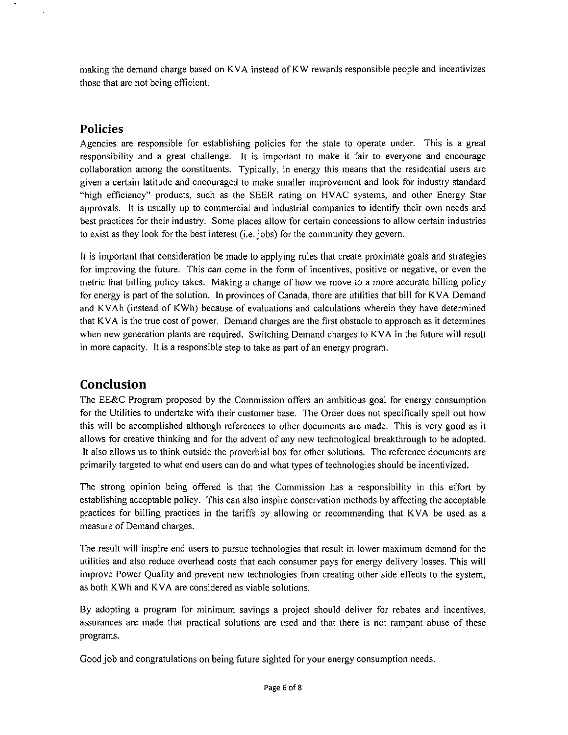making the demand charge based on KVA instead of KW rewards responsible people and incentivizes those that are not being efficient.

### **Policies**

Agencies are responsible for establishing policies for the state to operate under. This is a great responsibility and a great challenge. It is important to make it fair to everyone and encourage collaboration among the constituents. Typically, in energy this means that the residential users are given a certain latitude and encouraged to make smaller improvement and look for industry standard "high efficiency" products, such as the SEER rating on HVAC systems, and other Energy Star approvals. It is usually up to commercial and industrial companies to identity their own needs and best practices for their industry. Some places allow for certain concessions to allow certain industries to exist as they look for the best interest (i.e. jobs) for the community they govern.

It is important that consideration be made to applying rules that create proximate goals and strategies for improving the future. This can come in the form of incentives, positive or negative, or even the metric that billing policy takes. Making a change of how we move to a more accurate billing policy for energy is part of the solution. In provinces of Canada, there are utilities that bill for KVA Demand and KVAh (instead of KWh) because of evaluations and calculations wherein they have determined that KVA is the true cost of power. Demand charges are the first obstacle to approach as it determines when new generation plants are required. Switching Demand charges to KVA in the future will result in more capacity. It is a responsible step to take as part of an energy program.

# **Conclusion**

The EE&C Program proposed by the Commission offers an ambitious goal for energy consumption for the Utilities to undertake with their customer base. The Order does not specifically spell out how this will be accomplished although references to other documents are made. This is very good as it allows for creative thinking and for the advent of any new technological breakthrough to be adopted. It also allows us to think outside the proverbial box for other solutions. The reference documents are primarily targeted to what end users can do and what types of technologies should be incentivized.

The strong opinion being offered is that the Commission has a responsibility in this effort by establishing acceptable policy. This can also inspire conservation methods by affecting the acceptable practices for billing practices in the tariffs by allowing or recommending that KVA be used as a measure of Demand charges.

The result will inspire end users to pursue technologies that result in lower maximum demand for the utilities and also reduce overhead costs that each consumer pays for energy delivery losses. This will improve Power Quality and prevent new technologies from creating other side effects to the system, as both KWh and KVA are considered as viable solutions.

By adopting a program for minimum savings a project should deliver for rebates and incentives, assurances are made that practical solutions are used and that there is not rampant abuse of these programs.

Good job and congratulations on being future sighted for your energy consumption needs.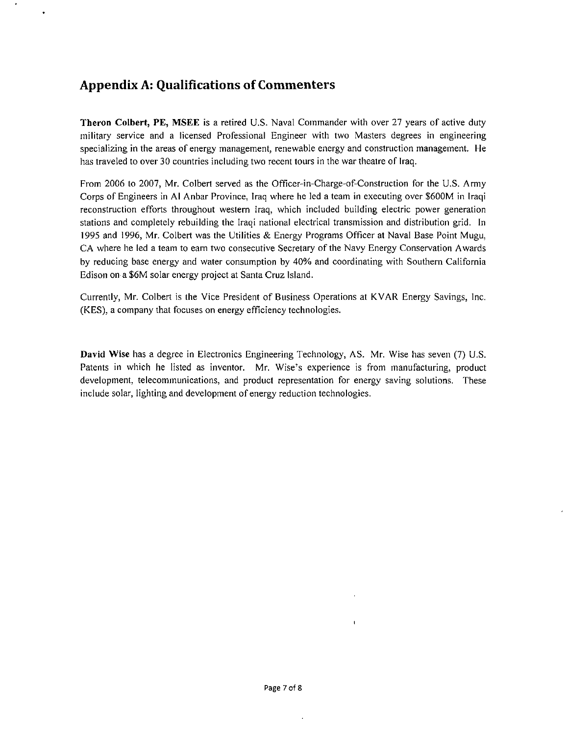# **Appendix A: Qualifications of Commenters**

Theron Colbert, PE, MSEE is a retired U.S. Naval Commander with over 27 years of active duty military service and a licensed Professional Engineer with two Masters degrees in engineering specializing in the areas of energy management, renewable energy and construction management. He has traveled to over 30 countries including two recent tours in the war theatre of Iraq.

From 2006 to 2007, Mr. Colbert served as the Officer-in-Charge-of-Construction for the U.S. Army Corps of Engineers in Al Anbar Province, Iraq where he led a team in executing over \$600M in Iraqi reconstruction efforts throughout western Iraq, which included building electric power generation stations and completely rebuilding the Iraqi national electrical transmission and distribution grid. In 1995 and 1996, Mr. Colbert was the Utilities & Energy Programs Officer at Naval Base Point Mugu, CA where he led a team to earn two consecutive Secretary of the Navy Energy Conservation Awards by reducing base energy and water consumption by 40% and coordinating with Southern California Edison on a \$6M solar energy project at Santa Cruz Island.

Currently, Mr. Colbert is the Vice President of Business Operations at KVAR Energy Savings, Inc. (KES), a company that focuses on energy efficiency technologies.

David Wise has a degree in Electronics Engineering Technology, AS. Mr. Wise has seven (7) U.S. Patents in which he listed as inventor. Mr. Wise's experience is from manufacturing, product development, telecommunications, and product representation for energy saving solutions. These include solar, lighting and development of energy reduction technologies.

 $\mathbf{I}$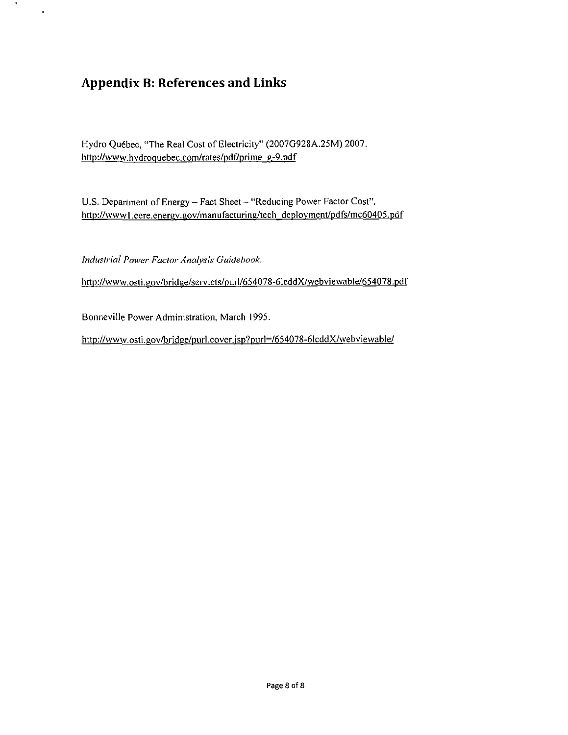# **Appendix B: References and Links**

 $\mathcal{A}$  .

 $\bullet$ 

Hydro Quebec, "The Real Cost of Electricity" (2007G928A.25M) 2007. http://www.hydroquebec.com/rates/pdf/prime g-9.pdf

U.S. Department of Energy - Fact Sheet - "Reducing Power Factor Cost". http://wwwl.eere.energv.gov/manufacturing/tech deplovment/pdfs/mc60405.pdf

*Industrial Power Factor Analysis Guidebook.* 

http://www.osti.gov/bridge/servlets/purl/654078-6lcddX/webviewable/654078.pdf

http://www.osti.gov/bridge/purl.cover.jsp?purl=/654078-6lcddX/webviewable/